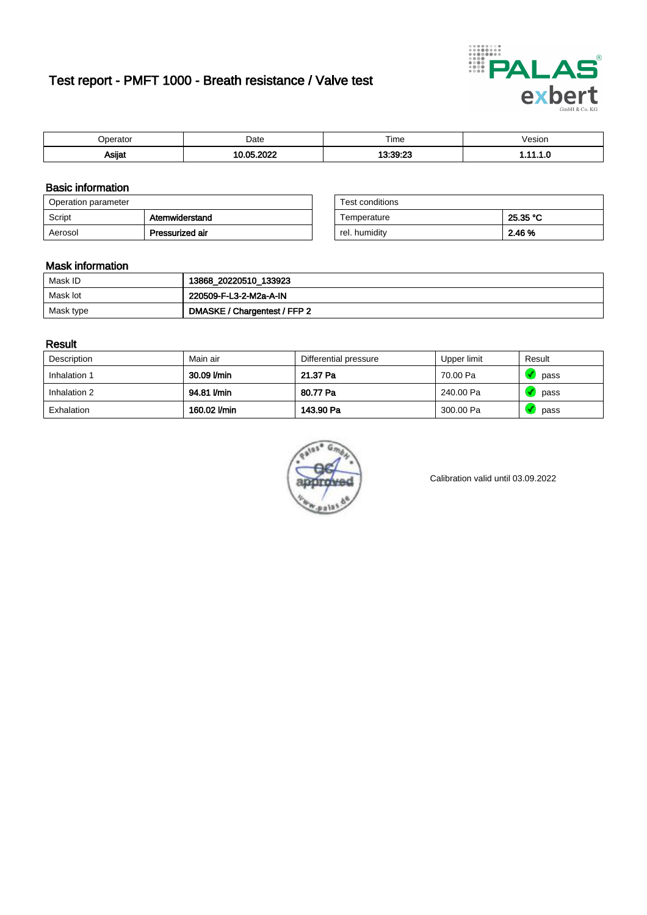# Test report - PMFT 1000 - Breath resistance / Valve test



| )perator      | Date      | $- \cdot$<br>Гіmе | /esion |
|---------------|-----------|-------------------|--------|
|               | ാറാ       | 13.30.93          | .      |
| <b>Asijat</b> | <b>OF</b> | $-1.2-$           |        |

### Basic information

| Operation parameter |                 | Test conditions |          |
|---------------------|-----------------|-----------------|----------|
| Script              | Atemwiderstand  | Temperature     | 25.35 °C |
| Aerosol             | Pressurized air | rel. humidity   | 2.46 %   |

| Test conditions |          |
|-----------------|----------|
| Temperature     | 25.35 °C |
| rel. humidity   | 2.46 %   |

#### Mask information

| Mask ID   | 13868_20220510_133923        |
|-----------|------------------------------|
| Mask lot  | 220509-F-L3-2-M2a-A-IN       |
| Mask type | DMASKE / Chargentest / FFP 2 |

### Result

| Description  | Main air     | Differential pressure | Upper limit | Result |
|--------------|--------------|-----------------------|-------------|--------|
| Inhalation 1 | 30.09 l/min  | 21.37 Pa              | 70.00 Pa    | pass   |
| Inhalation 2 | 94.81 I/min  | 80.77 Pa              | 240.00 Pa   | pass   |
| Exhalation   | 160.02 l/min | 143.90 Pa             | 300.00 Pa   | pass   |



Calibration valid until 03.09.2022